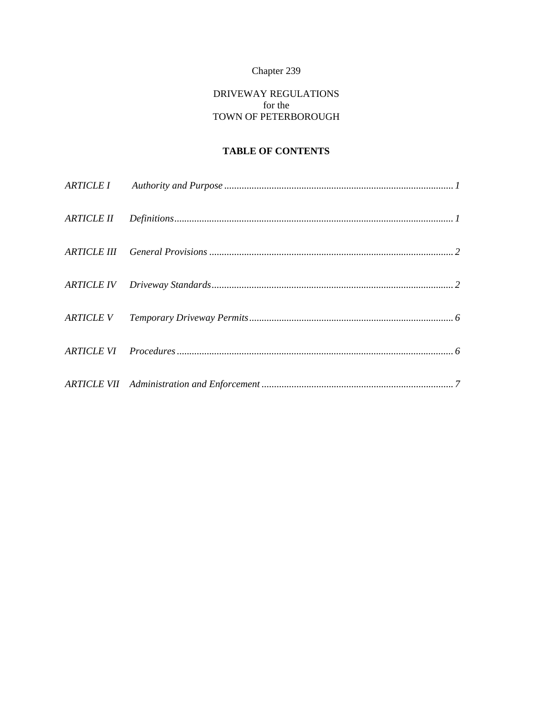# Chapter 239

# DRIVEWAY REGULATIONS for the TOWN OF PETERBOROUGH

# **TABLE OF CONTENTS**

| $\begin{minipage}{0.9\linewidth} ARTICLE~II \qquad \textit{Definitions} \end{minipage} \begin{minipage}{0.9\linewidth} \begin{minipage}{0.9\linewidth} \begin{minipage}{0.9\linewidth} \centering \end{minipage} \begin{minipage}{0.9\linewidth} \centering \begin{minipage}{0.9\linewidth} \centering \end{minipage} \begin{minipage}{0.9\linewidth} \centering \end{minipage} \begin{minipage}{0.9\linewidth} \centering \begin{minipage}{0.9\linewidth} \centering \end{minipage} \begin{minipage}{0.9\linewidth} \centering \end{minipage} \begin{minipage}{0.9\linewidth$ |  |
|--------------------------------------------------------------------------------------------------------------------------------------------------------------------------------------------------------------------------------------------------------------------------------------------------------------------------------------------------------------------------------------------------------------------------------------------------------------------------------------------------------------------------------------------------------------------------------|--|
|                                                                                                                                                                                                                                                                                                                                                                                                                                                                                                                                                                                |  |
|                                                                                                                                                                                                                                                                                                                                                                                                                                                                                                                                                                                |  |
|                                                                                                                                                                                                                                                                                                                                                                                                                                                                                                                                                                                |  |
|                                                                                                                                                                                                                                                                                                                                                                                                                                                                                                                                                                                |  |
|                                                                                                                                                                                                                                                                                                                                                                                                                                                                                                                                                                                |  |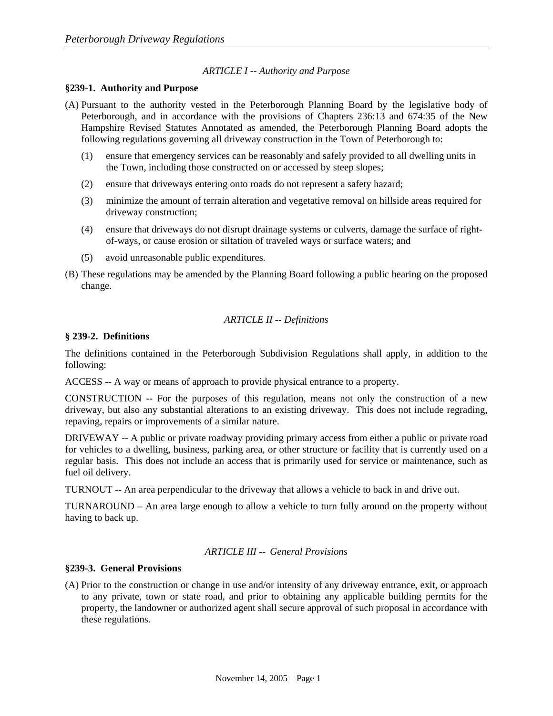# *ARTICLE I -- Authority and Purpose*

#### **§239-1. Authority and Purpose**

- (A) Pursuant to the authority vested in the Peterborough Planning Board by the legislative body of Peterborough, and in accordance with the provisions of Chapters 236:13 and 674:35 of the New Hampshire Revised Statutes Annotated as amended, the Peterborough Planning Board adopts the following regulations governing all driveway construction in the Town of Peterborough to:
	- (1) ensure that emergency services can be reasonably and safely provided to all dwelling units in the Town, including those constructed on or accessed by steep slopes;
	- (2) ensure that driveways entering onto roads do not represent a safety hazard;
	- (3) minimize the amount of terrain alteration and vegetative removal on hillside areas required for driveway construction;
	- (4) ensure that driveways do not disrupt drainage systems or culverts, damage the surface of rightof-ways, or cause erosion or siltation of traveled ways or surface waters; and
	- (5) avoid unreasonable public expenditures.
- (B) These regulations may be amended by the Planning Board following a public hearing on the proposed change.

#### *ARTICLE II -- Definitions*

#### **§ 239-2. Definitions**

The definitions contained in the Peterborough Subdivision Regulations shall apply, in addition to the following:

ACCESS -- A way or means of approach to provide physical entrance to a property.

CONSTRUCTION -- For the purposes of this regulation, means not only the construction of a new driveway, but also any substantial alterations to an existing driveway. This does not include regrading, repaving, repairs or improvements of a similar nature.

DRIVEWAY -- A public or private roadway providing primary access from either a public or private road for vehicles to a dwelling, business, parking area, or other structure or facility that is currently used on a regular basis. This does not include an access that is primarily used for service or maintenance, such as fuel oil delivery.

TURNOUT -- An area perpendicular to the driveway that allows a vehicle to back in and drive out.

TURNAROUND – An area large enough to allow a vehicle to turn fully around on the property without having to back up.

# *ARTICLE III -- General Provisions*

#### **§239-3. General Provisions**

(A) Prior to the construction or change in use and/or intensity of any driveway entrance, exit, or approach to any private, town or state road, and prior to obtaining any applicable building permits for the property, the landowner or authorized agent shall secure approval of such proposal in accordance with these regulations.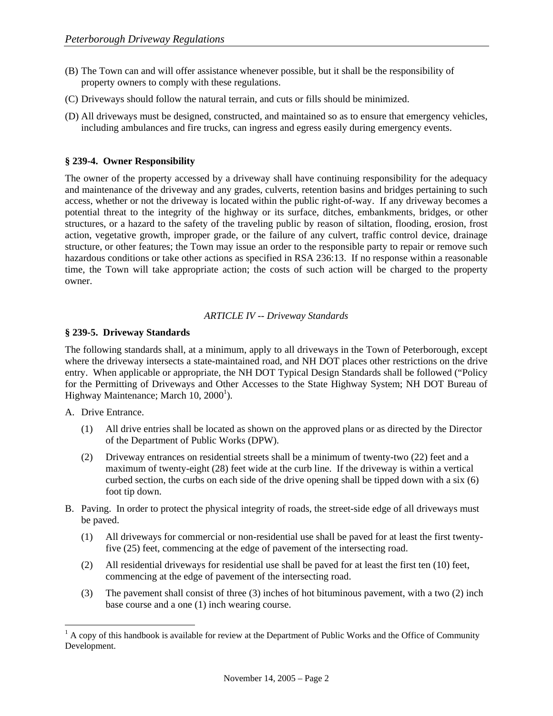- (B) The Town can and will offer assistance whenever possible, but it shall be the responsibility of property owners to comply with these regulations.
- (C) Driveways should follow the natural terrain, and cuts or fills should be minimized.
- (D) All driveways must be designed, constructed, and maintained so as to ensure that emergency vehicles, including ambulances and fire trucks, can ingress and egress easily during emergency events.

# **§ 239-4. Owner Responsibility**

The owner of the property accessed by a driveway shall have continuing responsibility for the adequacy and maintenance of the driveway and any grades, culverts, retention basins and bridges pertaining to such access, whether or not the driveway is located within the public right-of-way. If any driveway becomes a potential threat to the integrity of the highway or its surface, ditches, embankments, bridges, or other structures, or a hazard to the safety of the traveling public by reason of siltation, flooding, erosion, frost action, vegetative growth, improper grade, or the failure of any culvert, traffic control device, drainage structure, or other features; the Town may issue an order to the responsible party to repair or remove such hazardous conditions or take other actions as specified in RSA 236:13. If no response within a reasonable time, the Town will take appropriate action; the costs of such action will be charged to the property owner.

# *ARTICLE IV -- Driveway Standards*

# **§ 239-5. Driveway Standards**

The following standards shall, at a minimum, apply to all driveways in the Town of Peterborough, except where the driveway intersects a state-maintained road, and NH DOT places other restrictions on the drive entry. When applicable or appropriate, the NH DOT Typical Design Standards shall be followed ("Policy for the Permitting of Driveways and Other Accesses to the State Highway System; NH DOT Bureau of Highway Maintenance; March  $10, 2000<sup>1</sup>$ ).

A. Drive Entrance.

 $\overline{a}$ 

- (1) All drive entries shall be located as shown on the approved plans or as directed by the Director of the Department of Public Works (DPW).
- (2) Driveway entrances on residential streets shall be a minimum of twenty-two (22) feet and a maximum of twenty-eight (28) feet wide at the curb line. If the driveway is within a vertical curbed section, the curbs on each side of the drive opening shall be tipped down with a six  $(6)$ foot tip down.
- B. Paving. In order to protect the physical integrity of roads, the street-side edge of all driveways must be paved.
	- (1) All driveways for commercial or non-residential use shall be paved for at least the first twentyfive (25) feet, commencing at the edge of pavement of the intersecting road.
	- (2) All residential driveways for residential use shall be paved for at least the first ten (10) feet, commencing at the edge of pavement of the intersecting road.
	- (3) The pavement shall consist of three (3) inches of hot bituminous pavement, with a two (2) inch base course and a one (1) inch wearing course.

 $<sup>1</sup>$  A copy of this handbook is available for review at the Department of Public Works and the Office of Community</sup> Development.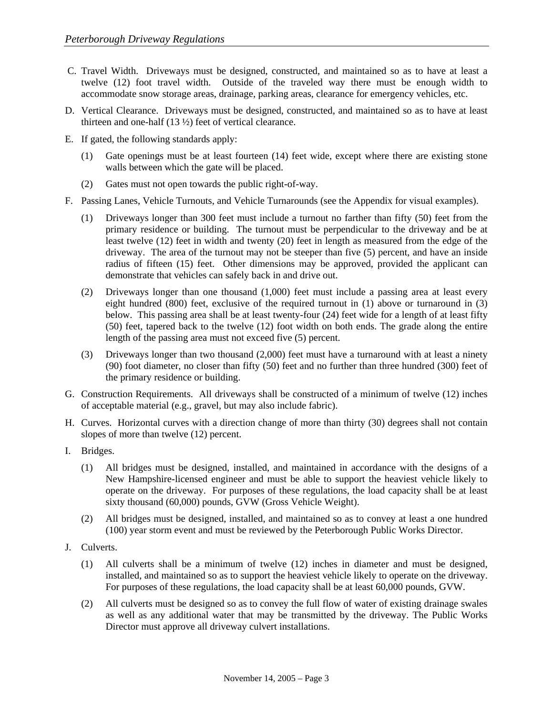- C. Travel Width. Driveways must be designed, constructed, and maintained so as to have at least a twelve (12) foot travel width. Outside of the traveled way there must be enough width to accommodate snow storage areas, drainage, parking areas, clearance for emergency vehicles, etc.
- D. Vertical Clearance. Driveways must be designed, constructed, and maintained so as to have at least thirteen and one-half (13 ½) feet of vertical clearance.
- E. If gated, the following standards apply:
	- (1) Gate openings must be at least fourteen (14) feet wide, except where there are existing stone walls between which the gate will be placed.
	- (2) Gates must not open towards the public right-of-way.
- F. Passing Lanes, Vehicle Turnouts, and Vehicle Turnarounds (see the Appendix for visual examples).
	- (1) Driveways longer than 300 feet must include a turnout no farther than fifty (50) feet from the primary residence or building. The turnout must be perpendicular to the driveway and be at least twelve (12) feet in width and twenty (20) feet in length as measured from the edge of the driveway. The area of the turnout may not be steeper than five (5) percent, and have an inside radius of fifteen (15) feet. Other dimensions may be approved, provided the applicant can demonstrate that vehicles can safely back in and drive out.
	- (2) Driveways longer than one thousand (1,000) feet must include a passing area at least every eight hundred (800) feet, exclusive of the required turnout in (1) above or turnaround in (3) below. This passing area shall be at least twenty-four (24) feet wide for a length of at least fifty (50) feet, tapered back to the twelve (12) foot width on both ends. The grade along the entire length of the passing area must not exceed five (5) percent.
	- (3) Driveways longer than two thousand (2,000) feet must have a turnaround with at least a ninety (90) foot diameter, no closer than fifty (50) feet and no further than three hundred (300) feet of the primary residence or building.
- G. Construction Requirements. All driveways shall be constructed of a minimum of twelve (12) inches of acceptable material (e.g., gravel, but may also include fabric).
- H. Curves. Horizontal curves with a direction change of more than thirty (30) degrees shall not contain slopes of more than twelve (12) percent.
- I. Bridges.
	- (1) All bridges must be designed, installed, and maintained in accordance with the designs of a New Hampshire-licensed engineer and must be able to support the heaviest vehicle likely to operate on the driveway. For purposes of these regulations, the load capacity shall be at least sixty thousand (60,000) pounds, GVW (Gross Vehicle Weight).
	- (2) All bridges must be designed, installed, and maintained so as to convey at least a one hundred (100) year storm event and must be reviewed by the Peterborough Public Works Director.
- J. Culverts.
	- (1) All culverts shall be a minimum of twelve (12) inches in diameter and must be designed, installed, and maintained so as to support the heaviest vehicle likely to operate on the driveway. For purposes of these regulations, the load capacity shall be at least 60,000 pounds, GVW.
	- (2) All culverts must be designed so as to convey the full flow of water of existing drainage swales as well as any additional water that may be transmitted by the driveway. The Public Works Director must approve all driveway culvert installations.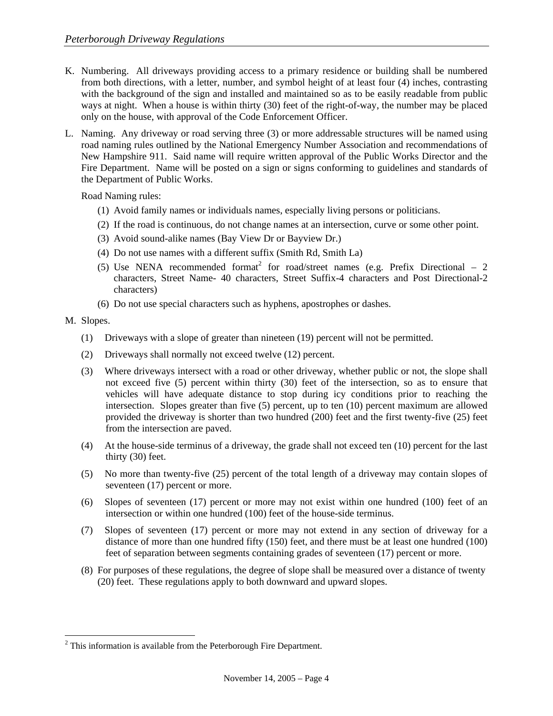- K. Numbering. All driveways providing access to a primary residence or building shall be numbered from both directions, with a letter, number, and symbol height of at least four (4) inches, contrasting with the background of the sign and installed and maintained so as to be easily readable from public ways at night. When a house is within thirty (30) feet of the right-of-way, the number may be placed only on the house, with approval of the Code Enforcement Officer.
- L. Naming. Any driveway or road serving three (3) or more addressable structures will be named using road naming rules outlined by the National Emergency Number Association and recommendations of New Hampshire 911. Said name will require written approval of the Public Works Director and the Fire Department. Name will be posted on a sign or signs conforming to guidelines and standards of the Department of Public Works.

Road Naming rules:

- (1) Avoid family names or individuals names, especially living persons or politicians.
- (2) If the road is continuous, do not change names at an intersection, curve or some other point.
- (3) Avoid sound-alike names (Bay View Dr or Bayview Dr.)
- (4) Do not use names with a different suffix (Smith Rd, Smith La)
- (5) Use NENA recommended format<sup>2</sup> for road/street names (e.g. Prefix Directional  $-2$ characters, Street Name- 40 characters, Street Suffix-4 characters and Post Directional-2 characters)
- (6) Do not use special characters such as hyphens, apostrophes or dashes.

#### M. Slopes.

 $\overline{a}$ 

- (1) Driveways with a slope of greater than nineteen (19) percent will not be permitted.
- (2) Driveways shall normally not exceed twelve (12) percent.
- (3) Where driveways intersect with a road or other driveway, whether public or not, the slope shall not exceed five (5) percent within thirty (30) feet of the intersection, so as to ensure that vehicles will have adequate distance to stop during icy conditions prior to reaching the intersection. Slopes greater than five (5) percent, up to ten (10) percent maximum are allowed provided the driveway is shorter than two hundred (200) feet and the first twenty-five (25) feet from the intersection are paved.
- (4) At the house-side terminus of a driveway, the grade shall not exceed ten (10) percent for the last thirty (30) feet.
- (5) No more than twenty-five (25) percent of the total length of a driveway may contain slopes of seventeen (17) percent or more.
- (6) Slopes of seventeen (17) percent or more may not exist within one hundred (100) feet of an intersection or within one hundred (100) feet of the house-side terminus.
- (7) Slopes of seventeen (17) percent or more may not extend in any section of driveway for a distance of more than one hundred fifty (150) feet, and there must be at least one hundred (100) feet of separation between segments containing grades of seventeen (17) percent or more.
- (8) For purposes of these regulations, the degree of slope shall be measured over a distance of twenty (20) feet. These regulations apply to both downward and upward slopes.

 $2$ <sup>2</sup> This information is available from the Peterborough Fire Department.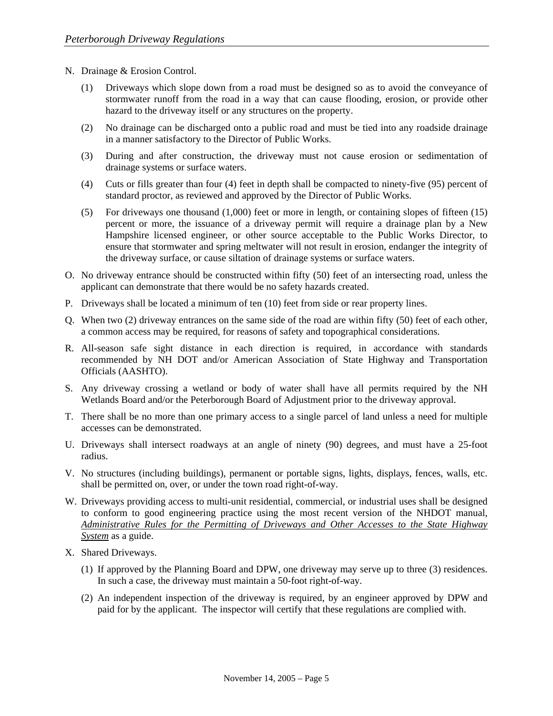- N. Drainage & Erosion Control.
	- (1) Driveways which slope down from a road must be designed so as to avoid the conveyance of stormwater runoff from the road in a way that can cause flooding, erosion, or provide other hazard to the driveway itself or any structures on the property.
	- (2) No drainage can be discharged onto a public road and must be tied into any roadside drainage in a manner satisfactory to the Director of Public Works.
	- (3) During and after construction, the driveway must not cause erosion or sedimentation of drainage systems or surface waters.
	- (4) Cuts or fills greater than four (4) feet in depth shall be compacted to ninety-five (95) percent of standard proctor, as reviewed and approved by the Director of Public Works.
	- (5) For driveways one thousand (1,000) feet or more in length, or containing slopes of fifteen (15) percent or more, the issuance of a driveway permit will require a drainage plan by a New Hampshire licensed engineer, or other source acceptable to the Public Works Director, to ensure that stormwater and spring meltwater will not result in erosion, endanger the integrity of the driveway surface, or cause siltation of drainage systems or surface waters.
- O. No driveway entrance should be constructed within fifty (50) feet of an intersecting road, unless the applicant can demonstrate that there would be no safety hazards created.
- P. Driveways shall be located a minimum of ten (10) feet from side or rear property lines.
- Q. When two (2) driveway entrances on the same side of the road are within fifty (50) feet of each other, a common access may be required, for reasons of safety and topographical considerations.
- R. All-season safe sight distance in each direction is required, in accordance with standards recommended by NH DOT and/or American Association of State Highway and Transportation Officials (AASHTO).
- S. Any driveway crossing a wetland or body of water shall have all permits required by the NH Wetlands Board and/or the Peterborough Board of Adjustment prior to the driveway approval.
- T. There shall be no more than one primary access to a single parcel of land unless a need for multiple accesses can be demonstrated.
- U. Driveways shall intersect roadways at an angle of ninety (90) degrees, and must have a 25-foot radius.
- V. No structures (including buildings), permanent or portable signs, lights, displays, fences, walls, etc. shall be permitted on, over, or under the town road right-of-way.
- W. Driveways providing access to multi-unit residential, commercial, or industrial uses shall be designed to conform to good engineering practice using the most recent version of the NHDOT manual, *Administrative Rules for the Permitting of Driveways and Other Accesses to the State Highway System* as a guide.
- X. Shared Driveways.
	- (1) If approved by the Planning Board and DPW, one driveway may serve up to three (3) residences. In such a case, the driveway must maintain a 50-foot right-of-way.
	- (2) An independent inspection of the driveway is required, by an engineer approved by DPW and paid for by the applicant. The inspector will certify that these regulations are complied with.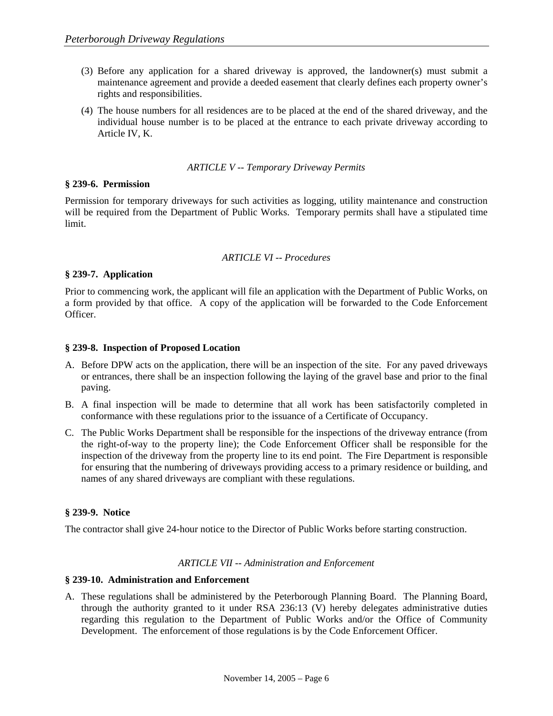- (3) Before any application for a shared driveway is approved, the landowner(s) must submit a maintenance agreement and provide a deeded easement that clearly defines each property owner's rights and responsibilities.
- (4) The house numbers for all residences are to be placed at the end of the shared driveway, and the individual house number is to be placed at the entrance to each private driveway according to Article IV, K.

#### *ARTICLE V -- Temporary Driveway Permits*

# **§ 239-6. Permission**

Permission for temporary driveways for such activities as logging, utility maintenance and construction will be required from the Department of Public Works. Temporary permits shall have a stipulated time limit.

#### *ARTICLE VI -- Procedures*

# **§ 239-7. Application**

Prior to commencing work, the applicant will file an application with the Department of Public Works, on a form provided by that office. A copy of the application will be forwarded to the Code Enforcement Officer.

# **§ 239-8. Inspection of Proposed Location**

- A. Before DPW acts on the application, there will be an inspection of the site. For any paved driveways or entrances, there shall be an inspection following the laying of the gravel base and prior to the final paving.
- B. A final inspection will be made to determine that all work has been satisfactorily completed in conformance with these regulations prior to the issuance of a Certificate of Occupancy.
- C. The Public Works Department shall be responsible for the inspections of the driveway entrance (from the right-of-way to the property line); the Code Enforcement Officer shall be responsible for the inspection of the driveway from the property line to its end point. The Fire Department is responsible for ensuring that the numbering of driveways providing access to a primary residence or building, and names of any shared driveways are compliant with these regulations.

# **§ 239-9. Notice**

The contractor shall give 24-hour notice to the Director of Public Works before starting construction.

#### *ARTICLE VII -- Administration and Enforcement*

#### **§ 239-10. Administration and Enforcement**

A. These regulations shall be administered by the Peterborough Planning Board. The Planning Board, through the authority granted to it under RSA 236:13 (V) hereby delegates administrative duties regarding this regulation to the Department of Public Works and/or the Office of Community Development. The enforcement of those regulations is by the Code Enforcement Officer.